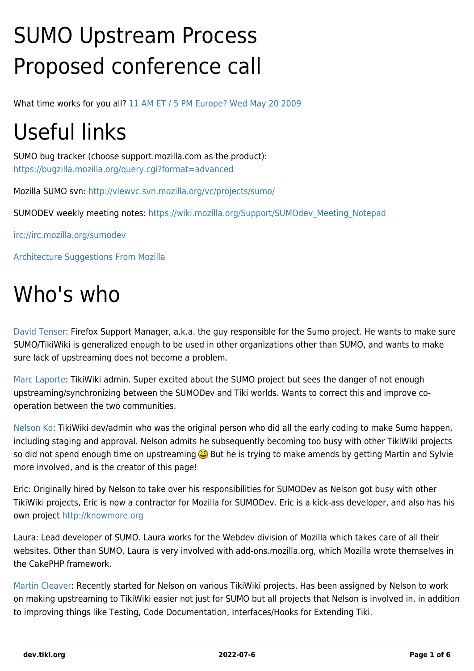# SUMO Upstream Process Proposed conference call

What time works for you all? [11 AM ET / 5 PM Europe? Wed May 20 2009](http://www.timeanddate.com/worldclock/fixedtime.html?month=5&day=20&year=2009&hour=11&min=0&sec=0&p1=165)

# Useful links

SUMO bug tracker (choose support.mozilla.com as the product): <https://bugzilla.mozilla.org/query.cgi?format=advanced>

Mozilla SUMO svn:<http://viewvc.svn.mozilla.org/vc/projects/sumo/>

SUMODEV weekly meeting notes: [https://wiki.mozilla.org/Support/SUMOdev\\_Meeting\\_Notepad](https://wiki.mozilla.org/Support/SUMOdev_Meeting_Notepad)

<irc://irc.mozilla.org/sumodev>

[Architecture Suggestions From Mozilla](https://dev.tiki.org/Architecture-Suggestions-From-Mozilla)

### Who's who

[David Tenser:](http://djst.org/) Firefox Support Manager, a.k.a. the guy responsible for the Sumo project. He wants to make sure SUMO/TikiWiki is generalized enough to be used in other organizations other than SUMO, and wants to make sure lack of upstreaming does not become a problem.

[Marc Laporte](http://marclaporte.com/): TikiWiki admin. Super excited about the SUMO project but sees the danger of not enough upstreaming/synchronizing between the SUMODev and Tiki worlds. Wants to correct this and improve cooperation between the two communities.

[Nelson Ko:](http://nelsonko.com/) TikiWiki dev/admin who was the original person who did all the early coding to make Sumo happen, including staging and approval. Nelson admits he subsequently becoming too busy with other TikiWiki projects so did not spend enough time on upstreaming  $\bigcirc$  But he is trying to make amends by getting Martin and Sylvie more involved, and is the creator of this page!

Eric: Originally hired by Nelson to take over his responsibilities for SUMODev as Nelson got busy with other TikiWiki projects, Eric is now a contractor for Mozilla for SUMODev. Eric is a kick-ass developer, and also has his own project<http://knowmore.org>

Laura: Lead developer of SUMO. Laura works for the Webdev division of Mozilla which takes care of all their websites. Other than SUMO, Laura is very involved with add-ons.mozilla.org, which Mozilla wrote themselves in the CakePHP framework.

[Martin Cleaver:](http://martin.cleaver.org/) Recently started for Nelson on various TikiWiki projects. Has been assigned by Nelson to work on making upstreaming to TikiWiki easier not just for SUMO but all projects that Nelson is involved in, in addition to improving things like Testing, Code Documentation, Interfaces/Hooks for Extending Tiki.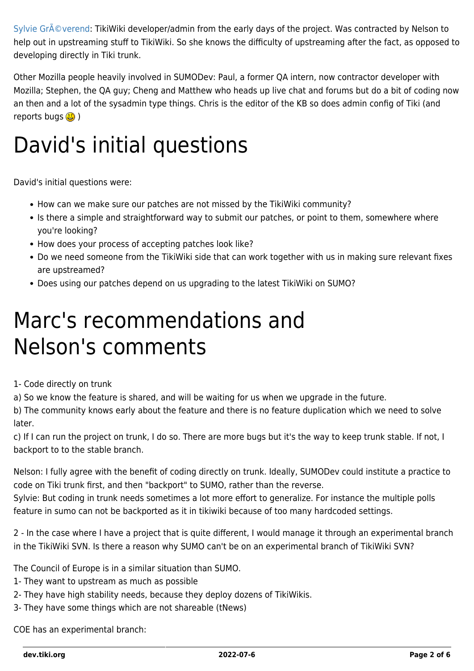Sylvie Gré verend: TikiWiki developer/admin from the early days of the project. Was contracted by Nelson to help out in upstreaming stuff to TikiWiki. So she knows the difficulty of upstreaming after the fact, as opposed to developing directly in Tiki trunk.

Other Mozilla people heavily involved in SUMODev: Paul, a former QA intern, now contractor developer with Mozilla; Stephen, the QA guy; Cheng and Matthew who heads up live chat and forums but do a bit of coding now an then and a lot of the sysadmin type things. Chris is the editor of the KB so does admin config of Tiki (and reports bugs  $\bigcirc$ )

# David's initial questions

David's initial questions were:

- How can we make sure our patches are not missed by the TikiWiki community?
- Is there a simple and straightforward way to submit our patches, or point to them, somewhere where you're looking?
- How does your process of accepting patches look like?
- Do we need someone from the TikiWiki side that can work together with us in making sure relevant fixes are upstreamed?
- Does using our patches depend on us upgrading to the latest TikiWiki on SUMO?

## Marc's recommendations and Nelson's comments

#### 1- Code directly on trunk

a) So we know the feature is shared, and will be waiting for us when we upgrade in the future.

b) The community knows early about the feature and there is no feature duplication which we need to solve later.

c) If I can run the project on trunk, I do so. There are more bugs but it's the way to keep trunk stable. If not, I backport to to the stable branch.

Nelson: I fully agree with the benefit of coding directly on trunk. Ideally, SUMODev could institute a practice to code on Tiki trunk first, and then "backport" to SUMO, rather than the reverse.

Sylvie: But coding in trunk needs sometimes a lot more effort to generalize. For instance the multiple polls feature in sumo can not be backported as it in tikiwiki because of too many hardcoded settings.

2 - In the case where I have a project that is quite different, I would manage it through an experimental branch in the TikiWiki SVN. Is there a reason why SUMO can't be on an experimental branch of TikiWiki SVN?

The Council of Europe is in a similar situation than SUMO.

- 1- They want to upstream as much as possible
- 2- They have high stability needs, because they deploy dozens of TikiWikis.
- 3- They have some things which are not shareable (tNews)

COE has an experimental branch: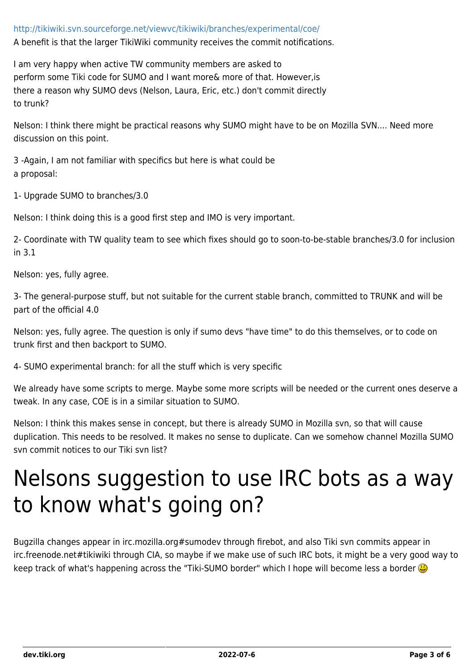#### <http://tikiwiki.svn.sourceforge.net/viewvc/tikiwiki/branches/experimental/coe/>

A benefit is that the larger TikiWiki community receives the commit notifications.

I am very happy when active TW community members are asked to perform some Tiki code for SUMO and I want more& more of that. However,is there a reason why SUMO devs (Nelson, Laura, Eric, etc.) don't commit directly to trunk?

Nelson: I think there might be practical reasons why SUMO might have to be on Mozilla SVN.... Need more discussion on this point.

3 -Again, I am not familiar with specifics but here is what could be a proposal:

1- Upgrade SUMO to branches/3.0

Nelson: I think doing this is a good first step and IMO is very important.

2- Coordinate with TW quality team to see which fixes should go to soon-to-be-stable branches/3.0 for inclusion in 3.1

Nelson: yes, fully agree.

3- The general-purpose stuff, but not suitable for the current stable branch, committed to TRUNK and will be part of the official 4.0

Nelson: yes, fully agree. The question is only if sumo devs "have time" to do this themselves, or to code on trunk first and then backport to SUMO.

4- SUMO experimental branch: for all the stuff which is very specific

We already have some scripts to merge. Maybe some more scripts will be needed or the current ones deserve a tweak. In any case, COE is in a similar situation to SUMO.

Nelson: I think this makes sense in concept, but there is already SUMO in Mozilla svn, so that will cause duplication. This needs to be resolved. It makes no sense to duplicate. Can we somehow channel Mozilla SUMO svn commit notices to our Tiki svn list?

## Nelsons suggestion to use IRC bots as a way to know what's going on?

Bugzilla changes appear in irc.mozilla.org#sumodev through firebot, and also Tiki svn commits appear in irc.freenode.net#tikiwiki through CIA, so maybe if we make use of such IRC bots, it might be a very good way to keep track of what's happening across the "Tiki-SUMO border" which I hope will become less a border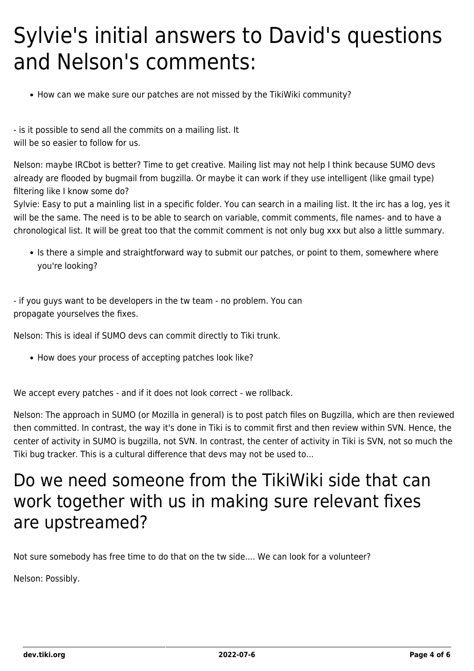## Sylvie's initial answers to David's questions and Nelson's comments:

• How can we make sure our patches are not missed by the TikiWiki community?

- is it possible to send all the commits on a mailing list. It will be so easier to follow for us.

Nelson: maybe IRCbot is better? Time to get creative. Mailing list may not help I think because SUMO devs already are flooded by bugmail from bugzilla. Or maybe it can work if they use intelligent (like gmail type) filtering like I know some do?

Sylvie: Easy to put a mainling list in a specific folder. You can search in a mailing list. It the irc has a log, yes it will be the same. The need is to be able to search on variable, commit comments, file names- and to have a chronological list. It will be great too that the commit comment is not only bug xxx but also a little summary.

• Is there a simple and straightforward way to submit our patches, or point to them, somewhere where you're looking?

- if you guys want to be developers in the tw team - no problem. You can propagate yourselves the fixes.

Nelson: This is ideal if SUMO devs can commit directly to Tiki trunk.

• How does your process of accepting patches look like?

We accept every patches - and if it does not look correct - we rollback.

Nelson: The approach in SUMO (or Mozilla in general) is to post patch files on Bugzilla, which are then reviewed then committed. In contrast, the way it's done in Tiki is to commit first and then review within SVN. Hence, the center of activity in SUMO is bugzilla, not SVN. In contrast, the center of activity in Tiki is SVN, not so much the Tiki bug tracker. This is a cultural difference that devs may not be used to...

### Do we need someone from the TikiWiki side that can work together with us in making sure relevant fixes are upstreamed?

Not sure somebody has free time to do that on the tw side.... We can look for a volunteer?

Nelson: Possibly.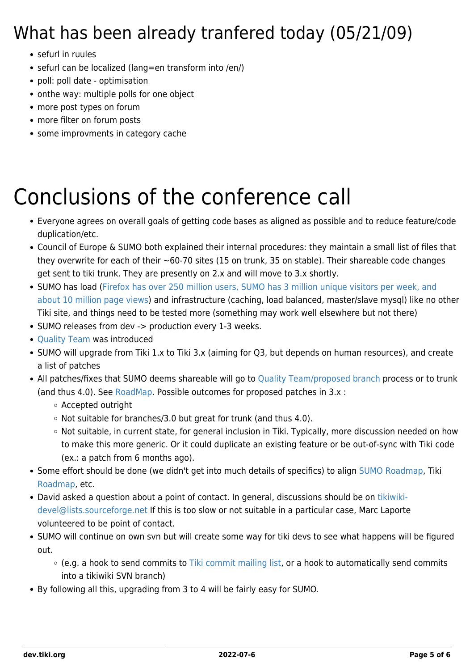### What has been already tranfered today (05/21/09)

- sefurl in ruules
- sefurl can be localized (lang=en transform into /en/)
- poll: poll date optimisation
- onthe way: multiple polls for one object
- more post types on forum
- more filter on forum posts
- some improvments in category cache

# Conclusions of the conference call

- Everyone agrees on overall goals of getting code bases as aligned as possible and to reduce feature/code duplication/etc.
- Council of Europe & SUMO both explained their internal procedures: they maintain a small list of files that they overwrite for each of their  $\sim$  60-70 sites (15 on trunk, 35 on stable). Their shareable code changes get sent to tiki trunk. They are presently on 2.x and will move to 3.x shortly.
- SUMO has load ([Firefox has over 250 million users, SUMO has 3 million unique visitors per week, and](http://spreadsheets.google.com/ccc?key=piA-a-dXCL2p7vB5pTu0HKA&hl=en) [about 10 million page views](http://spreadsheets.google.com/ccc?key=piA-a-dXCL2p7vB5pTu0HKA&hl=en)) and infrastructure (caching, load balanced, master/slave mysql) like no other Tiki site, and things need to be tested more (something may work well elsewhere but not there)
- SUMO releases from dev -> production every 1-3 weeks.
- [Quality Team](https://dev.tiki.org/Quality-Team) was introduced
- SUMO will upgrade from Tiki 1.x to Tiki 3.x (aiming for Q3, but depends on human resources), and create a list of patches
- All patches/fixes that SUMO deems shareable will go to [Quality Team/proposed branch](https://dev.tiki.org/Quality-Team) process or to trunk (and thus 4.0). See [RoadMap](https://dev.tiki.org/RoadMap). Possible outcomes for proposed patches in 3.x :
	- Accepted outright
	- $\circ$  Not suitable for branches/3.0 but great for trunk (and thus 4.0).
	- Not suitable, in current state, for general inclusion in Tiki. Typically, more discussion needed on how to make this more generic. Or it could duplicate an existing feature or be out-of-sync with Tiki code (ex.: a patch from 6 months ago).
- Some effort should be done (we didn't get into much details of specifics) to align [SUMO Roadmap](https://wiki.mozilla.org/Support/SumoDevRoadmap2009), Tiki [Roadmap](https://dev.tiki.org/RoadMap), etc.
- David asked a question about a point of contact. In general, discussions should be on [tikiwiki](mailto:tikiwiki-devel@lists.sourceforge.net)[devel@lists.sourceforge.net](mailto:tikiwiki-devel@lists.sourceforge.net) If this is too slow or not suitable in a particular case, Marc Laporte volunteered to be point of contact.
- SUMO will continue on own svn but will create some way for tiki devs to see what happens will be figured out.
	- (e.g. a hook to send commits to [Tiki commit mailing list](http://lists.sourceforge.net/lists/listinfo/tikiwiki-cvs), or a hook to automatically send commits into a tikiwiki SVN branch)
- By following all this, upgrading from 3 to 4 will be fairly easy for SUMO.